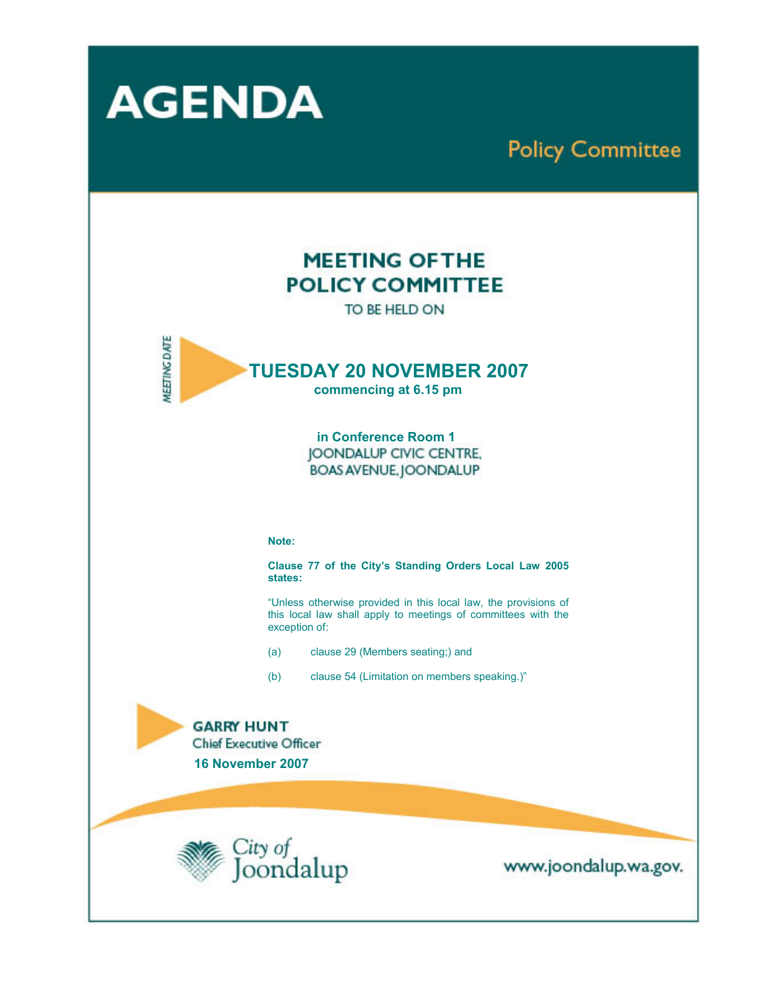

# **Policy Committee**

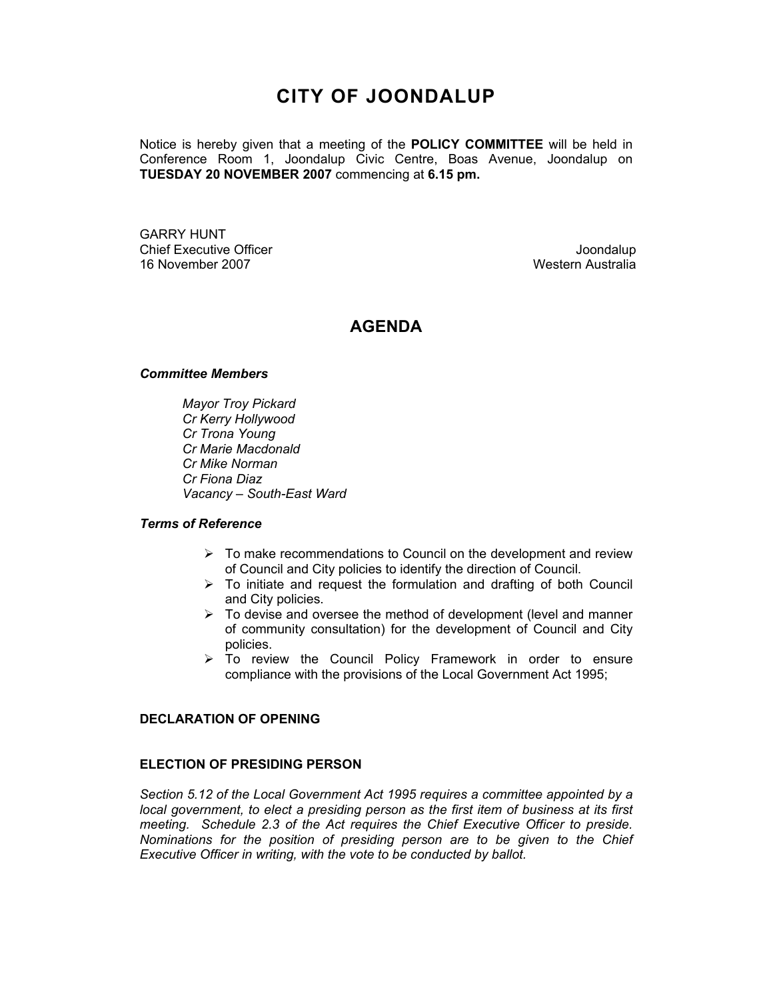## **CITY OF JOONDALUP**

Notice is hereby given that a meeting of the **POLICY COMMITTEE** will be held in Conference Room 1, Joondalup Civic Centre, Boas Avenue, Joondalup on **TUESDAY 20 NOVEMBER 2007** commencing at **6.15 pm.** 

GARRY HUNT Chief Executive Officer **Chief Executive Officer** Joondalup 16 November 2007 Western Australia

## **AGENDA**

#### *Committee Members*

*Mayor Troy Pickard Cr Kerry Hollywood Cr Trona Young Cr Marie Macdonald Cr Mike Norman Cr Fiona Diaz Vacancy – South-East Ward* 

#### *Terms of Reference*

- $\triangleright$  To make recommendations to Council on the development and review of Council and City policies to identify the direction of Council.
- $\triangleright$  To initiate and request the formulation and drafting of both Council and City policies.
- $\triangleright$  To devise and oversee the method of development (level and manner of community consultation) for the development of Council and City policies.
- $\triangleright$  To review the Council Policy Framework in order to ensure compliance with the provisions of the Local Government Act 1995;

#### **DECLARATION OF OPENING**

#### **ELECTION OF PRESIDING PERSON**

*Section 5.12 of the Local Government Act 1995 requires a committee appointed by a local government, to elect a presiding person as the first item of business at its first meeting. Schedule 2.3 of the Act requires the Chief Executive Officer to preside. Nominations for the position of presiding person are to be given to the Chief Executive Officer in writing, with the vote to be conducted by ballot.*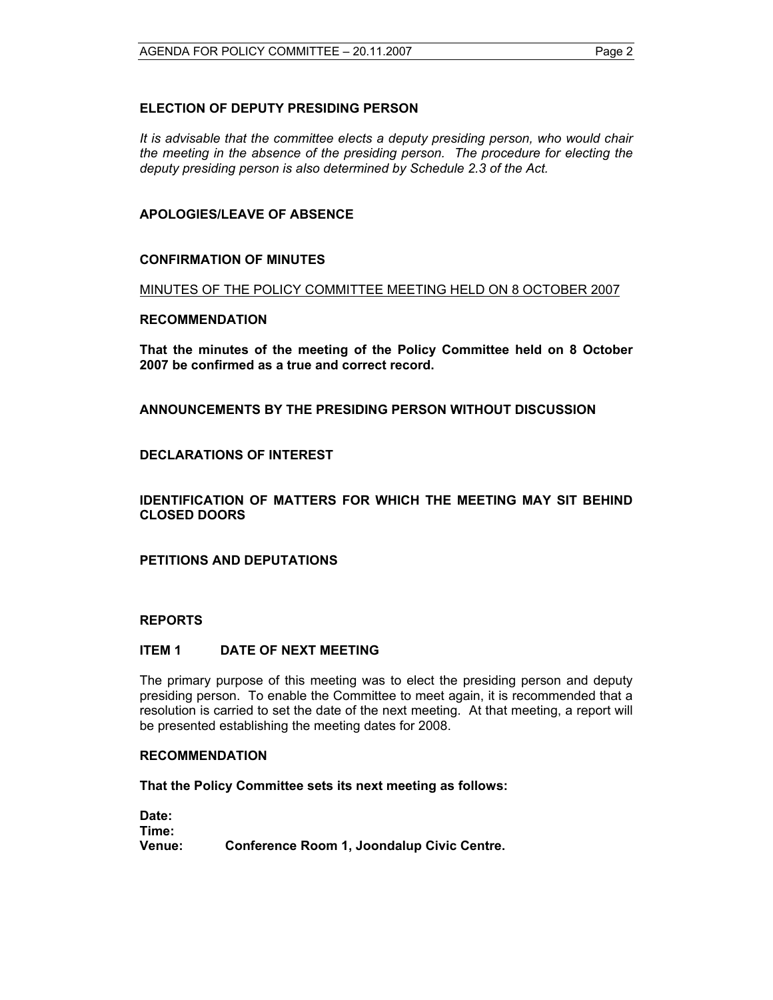## **ELECTION OF DEPUTY PRESIDING PERSON**

*It is advisable that the committee elects a deputy presiding person, who would chair the meeting in the absence of the presiding person. The procedure for electing the deputy presiding person is also determined by Schedule 2.3 of the Act.* 

## **APOLOGIES/LEAVE OF ABSENCE**

#### **CONFIRMATION OF MINUTES**

#### MINUTES OF THE POLICY COMMITTEE MEETING HELD ON 8 OCTOBER 2007

#### **RECOMMENDATION**

**That the minutes of the meeting of the Policy Committee held on 8 October 2007 be confirmed as a true and correct record.** 

#### **ANNOUNCEMENTS BY THE PRESIDING PERSON WITHOUT DISCUSSION**

## **DECLARATIONS OF INTEREST**

**IDENTIFICATION OF MATTERS FOR WHICH THE MEETING MAY SIT BEHIND CLOSED DOORS** 

**PETITIONS AND DEPUTATIONS** 

#### **REPORTS**

#### **ITEM 1 DATE OF NEXT MEETING**

The primary purpose of this meeting was to elect the presiding person and deputy presiding person. To enable the Committee to meet again, it is recommended that a resolution is carried to set the date of the next meeting. At that meeting, a report will be presented establishing the meeting dates for 2008.

#### **RECOMMENDATION**

**That the Policy Committee sets its next meeting as follows:** 

**Date: Time: Venue: Conference Room 1, Joondalup Civic Centre.**